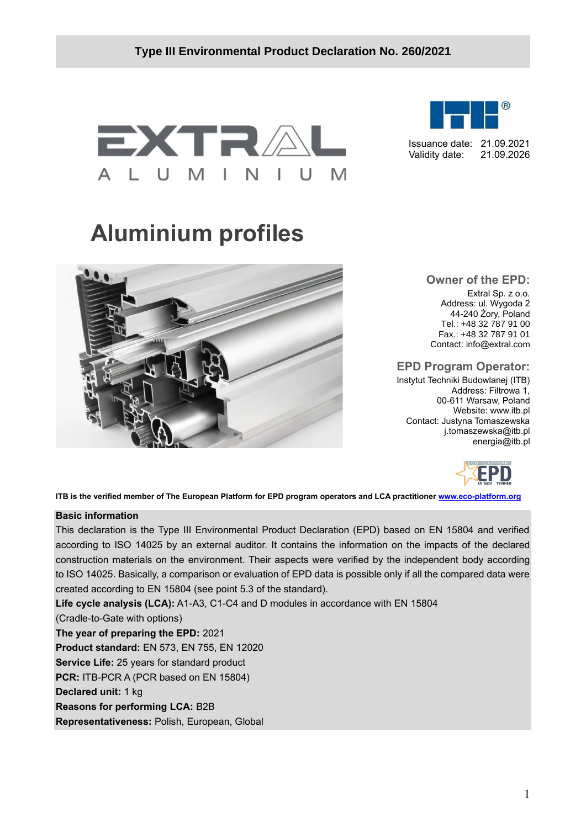



Issuance date: 21.09.2021 Validity date: 21.09.2026

# **Aluminium profiles**



**Owner of the EPD:** Extral Sp. z o.o. Address: ul. Wygoda 2 44-240 Żory, Poland Tel.: +48 32 787 91 00 Fax.: +48 32 787 91 01 Contact: [info@extral.com](mailto:info@extral.com)

# **EPD Program Operator:**

Instytut Techniki Budowlanej (ITB) Address: Filtrowa 1, 00-611 Warsaw, Poland Website: www.itb.pl Contact: Justyna Tomaszewska j.tomaszewska@itb.pl energia@itb.pl



**ITB is the verified member of The European Platform for EPD program operators and LCA practitioner [www.eco-platform.org](http://www.eco-platform.org/)**

#### **Basic information**

This declaration is the Type III Environmental Product Declaration (EPD) based on EN 15804 and verified according to ISO 14025 by an external auditor. It contains the information on the impacts of the declared construction materials on the environment. Their aspects were verified by the independent body according to ISO 14025. Basically, a comparison or evaluation of EPD data is possible only if all the compared data were created according to EN 15804 (see point 5.3 of the standard).

**Life cycle analysis (LCA):** A1-A3, C1-C4 and D modules in accordance with EN 15804

(Cradle-to-Gate with options)

**The year of preparing the EPD:** 2021

**Product standard:** EN 573, EN 755, EN 12020

**Service Life:** 25 years for standard product

**PCR:** ITB-PCR A (PCR based on EN 15804)

**Declared unit:** 1 kg

**Reasons for performing LCA:** B2B

**Representativeness:** Polish, European, Global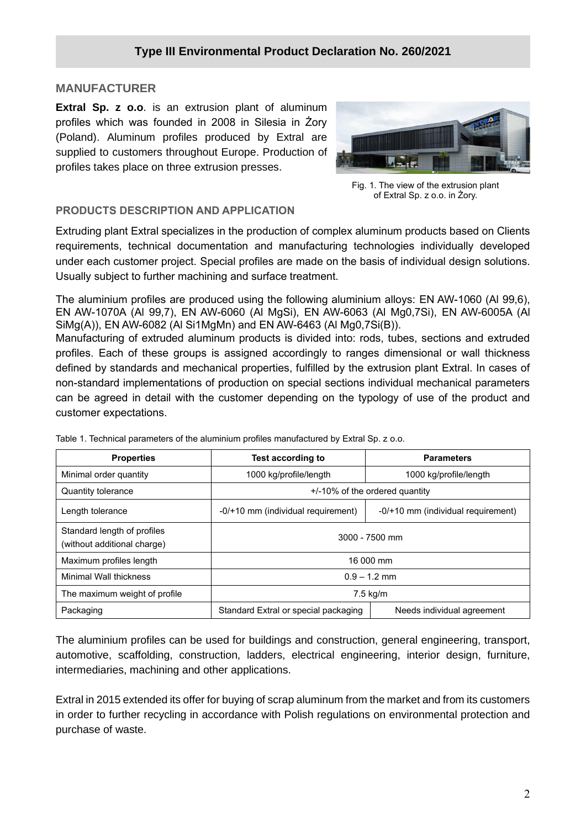### **MANUFACTURER**

**Extral Sp. z o.o**. is an extrusion plant of aluminum profiles which was founded in 2008 in Silesia in Żory (Poland). Aluminum profiles produced by Extral are supplied to customers throughout Europe. Production of profiles takes place on three extrusion presses.



Fig. 1. The view of the extrusion plant of Extral Sp. z o.o. in Żory.

# **PRODUCTS DESCRIPTION AND APPLICATION**

Extruding plant Extral specializes in the production of complex aluminum products based on Clients requirements, technical documentation and manufacturing technologies individually developed under each customer project. Special profiles are made on the basis of individual design solutions. Usually subject to further machining and surface treatment.

The aluminium profiles are produced using the following aluminium alloys: EN AW-1060 (Al 99,6), EN AW-1070A (Al 99,7), EN AW-6060 (Al MgSi), EN AW-6063 (Al Mg0,7Si), EN AW-6005A (Al SiMg(A)), EN AW-6082 (Al Si1MgMn) and EN AW-6463 (Al Mg0,7Si(B)).

Manufacturing of extruded aluminum products is divided into: rods, tubes, sections and extruded profiles. Each of these groups is assigned accordingly to ranges dimensional or wall thickness defined by standards and mechanical properties, fulfilled by the extrusion plant Extral. In cases of non-standard implementations of production on special sections individual mechanical parameters can be agreed in detail with the customer depending on the typology of use of the product and customer expectations.

| <b>Properties</b>                                          | <b>Test according to</b>                                           | <b>Parameters</b>                  |  |  |  |  |
|------------------------------------------------------------|--------------------------------------------------------------------|------------------------------------|--|--|--|--|
| Minimal order quantity                                     | 1000 kg/profile/length                                             | 1000 kg/profile/length             |  |  |  |  |
| <b>Quantity tolerance</b>                                  | $+/-10\%$ of the ordered quantity                                  |                                    |  |  |  |  |
| Length tolerance                                           | -0/+10 mm (individual requirement)                                 | -0/+10 mm (individual requirement) |  |  |  |  |
| Standard length of profiles<br>(without additional charge) | $3000 - 7500$ mm                                                   |                                    |  |  |  |  |
| Maximum profiles length                                    | 16 000 mm                                                          |                                    |  |  |  |  |
| <b>Minimal Wall thickness</b>                              | $0.9 - 1.2$ mm                                                     |                                    |  |  |  |  |
| The maximum weight of profile                              | $7.5 \text{ kg/m}$                                                 |                                    |  |  |  |  |
| Packaging                                                  | Standard Extral or special packaging<br>Needs individual agreement |                                    |  |  |  |  |

Table 1. Technical parameters of the aluminium profiles manufactured by Extral Sp. z o.o.

The aluminium profiles can be used for buildings and construction, general engineering, transport, automotive, scaffolding, construction, ladders, electrical engineering, interior design, furniture, intermediaries, machining and other applications.

Extral in 2015 extended its offer for buying of scrap aluminum from the market and from its customers in order to further recycling in accordance with Polish regulations on environmental protection and purchase of waste.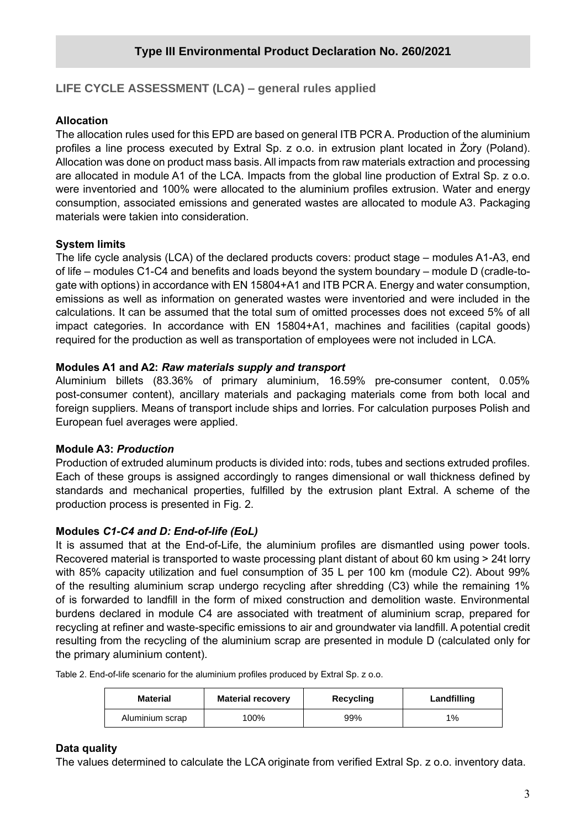# **LIFE CYCLE ASSESSMENT (LCA) – general rules applied**

# **Allocation**

The allocation rules used for this EPD are based on general ITB PCR A. Production of the aluminium profiles a line process executed by Extral Sp. z o.o. in extrusion plant located in Żory (Poland). Allocation was done on product mass basis. All impacts from raw materials extraction and processing are allocated in module A1 of the LCA. Impacts from the global line production of Extral Sp. z o.o. were inventoried and 100% were allocated to the aluminium profiles extrusion. Water and energy consumption, associated emissions and generated wastes are allocated to module A3. Packaging materials were takien into consideration.

# **System limits**

The life cycle analysis (LCA) of the declared products covers: product stage – modules A1-A3, end of life – modules C1-C4 and benefits and loads beyond the system boundary – module D (cradle-togate with options) in accordance with EN 15804+A1 and ITB PCR A. Energy and water consumption, emissions as well as information on generated wastes were inventoried and were included in the calculations. It can be assumed that the total sum of omitted processes does not exceed 5% of all impact categories. In accordance with EN 15804+A1, machines and facilities (capital goods) required for the production as well as transportation of employees were not included in LCA.

# **Modules A1 and A2:** *Raw materials supply and transport*

Aluminium billets (83.36% of primary aluminium, 16.59% pre-consumer content, 0.05% post-consumer content), ancillary materials and packaging materials come from both local and foreign suppliers. Means of transport include ships and lorries. For calculation purposes Polish and European fuel averages were applied.

#### **Module A3:** *Production*

Production of extruded aluminum products is divided into: rods, tubes and sections extruded profiles. Each of these groups is assigned accordingly to ranges dimensional or wall thickness defined by standards and mechanical properties, fulfilled by the extrusion plant Extral. A scheme of the production process is presented in Fig. 2.

# **Modules** *C1-C4 and D: End-of-life (EoL)*

It is assumed that at the End-of-Life, the aluminium profiles are dismantled using power tools. Recovered material is transported to waste processing plant distant of about 60 km using > 24t lorry with 85% capacity utilization and fuel consumption of 35 L per 100 km (module C2). About 99% of the resulting aluminium scrap undergo recycling after shredding (C3) while the remaining 1% of is forwarded to landfill in the form of mixed construction and demolition waste. Environmental burdens declared in module C4 are associated with treatment of aluminium scrap, prepared for recycling at refiner and waste-specific emissions to air and groundwater via landfill. A potential credit resulting from the recycling of the aluminium scrap are presented in module D (calculated only for the primary aluminium content).

Table 2. End-of-life scenario for the aluminium profiles produced by Extral Sp. z o.o.

| <b>Material</b> | <b>Material recovery</b> | Recycling | Landfilling |  |  |
|-----------------|--------------------------|-----------|-------------|--|--|
| Aluminium scrap | 100%                     | 99%       | 1%          |  |  |

# **Data quality**

The values determined to calculate the LCA originate from verified Extral Sp. z o.o. inventory data.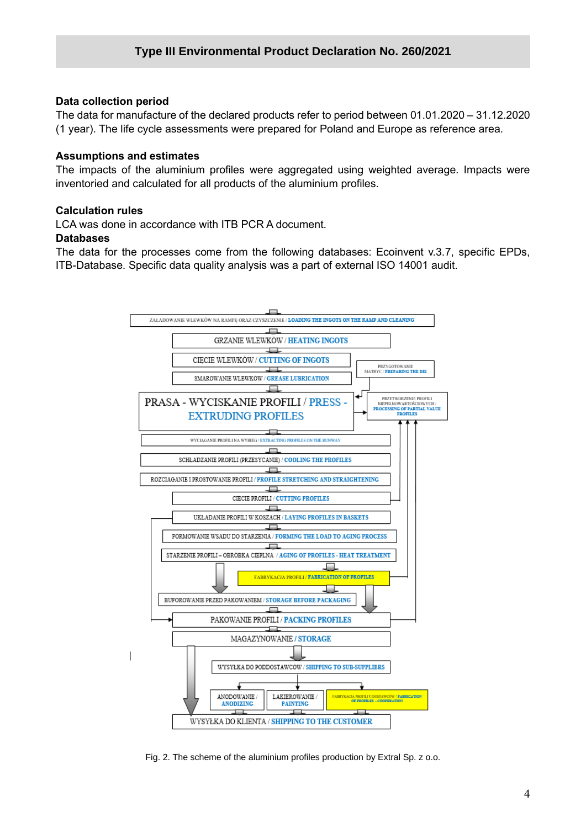#### **Data collection period**

The data for manufacture of the declared products refer to period between 01.01.2020 – 31.12.2020 (1 year). The life cycle assessments were prepared for Poland and Europe as reference area.

# **Assumptions and estimates**

The impacts of the aluminium profiles were aggregated using weighted average. Impacts were inventoried and calculated for all products of the aluminium profiles.

# **Calculation rules**

LCA was done in accordance with ITB PCR A document.

#### **Databases**

The data for the processes come from the following databases: Ecoinvent v.3.7, specific EPDs, ITB-Database. Specific data quality analysis was a part of external ISO 14001 audit.



Fig. 2. The scheme of the aluminium profiles production by Extral Sp. z o.o.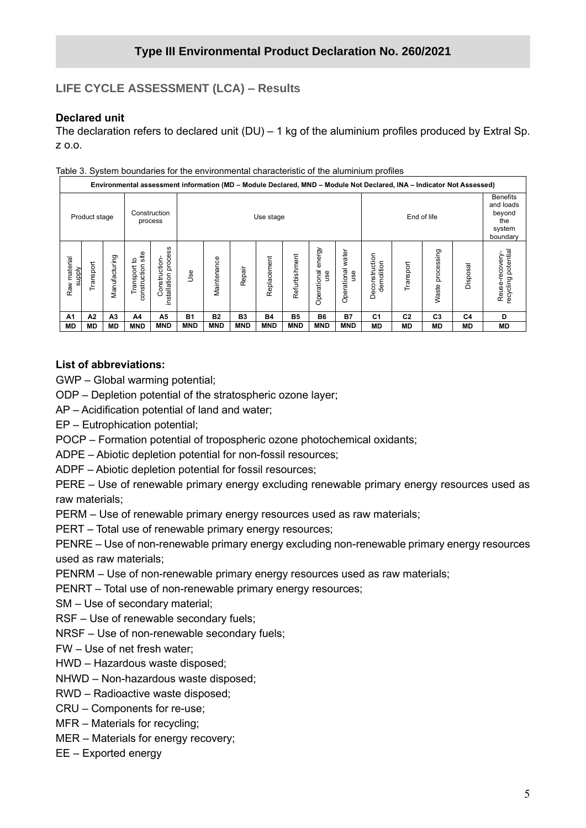# **LIFE CYCLE ASSESSMENT (LCA) – Results**

# **Declared unit**

The declaration refers to declared unit  $(DU) - 1$  kg of the aluminium profiles produced by Extral Sp. z o.o.

|                               | Environmental assessment information (MD - Module Declared, MND - Module Not Declared, INA - Indicator Not Assessed) |                |                                         |                                             |            |                          |            |             |                |                              |                             |                              |                                                                     |                     |           |                                       |
|-------------------------------|----------------------------------------------------------------------------------------------------------------------|----------------|-----------------------------------------|---------------------------------------------|------------|--------------------------|------------|-------------|----------------|------------------------------|-----------------------------|------------------------------|---------------------------------------------------------------------|---------------------|-----------|---------------------------------------|
|                               | Product stage                                                                                                        |                |                                         | Construction<br>process                     |            | End of life<br>Use stage |            |             |                |                              |                             |                              | <b>Benefits</b><br>and loads<br>beyond<br>the<br>system<br>boundary |                     |           |                                       |
| Raw material<br><b>Alddns</b> | Transport                                                                                                            | Manufacturing  | site<br>್ರ<br>construction<br>Transport | ဖ<br>proces<br>Construction<br>installation | Use        | Maintenance              | Repair     | Replacement | Refurbishment  | energy<br>Operational<br>use | water<br>Operational<br>use | Deconstruction<br>demolition | Transport                                                           | processing<br>Waste | Disposal  | recycling potential<br>Reuse-recovery |
| A1                            | A2                                                                                                                   | A <sub>3</sub> | A4                                      | А5                                          | <b>B1</b>  | <b>B2</b>                | <b>B3</b>  | <b>B4</b>   | B <sub>5</sub> | <b>B6</b>                    | <b>B7</b>                   | C <sub>1</sub>               | C <sub>2</sub>                                                      | C <sub>3</sub>      | C4        | D                                     |
| <b>MD</b>                     | <b>MD</b>                                                                                                            | <b>MD</b>      | <b>MND</b>                              | <b>MND</b>                                  | <b>MND</b> | <b>MND</b>               | <b>MND</b> | <b>MND</b>  | <b>MND</b>     | <b>MND</b>                   | <b>MND</b>                  | MD                           | МD                                                                  | <b>MD</b>           | <b>MD</b> | MD                                    |

Table 3. System boundaries for the environmental characteristic of the aluminium profiles

#### **List of abbreviations:**

GWP – Global warming potential;

ODP – Depletion potential of the stratospheric ozone layer;

AP – Acidification potential of land and water;

EP – Eutrophication potential;

POCP – Formation potential of tropospheric ozone photochemical oxidants;

ADPE – Abiotic depletion potential for non-fossil resources;

ADPF – Abiotic depletion potential for fossil resources;

PERE – Use of renewable primary energy excluding renewable primary energy resources used as raw materials;

PERM – Use of renewable primary energy resources used as raw materials;

PERT – Total use of renewable primary energy resources;

PENRE – Use of non-renewable primary energy excluding non-renewable primary energy resources used as raw materials;

PENRM – Use of non-renewable primary energy resources used as raw materials;

PENRT – Total use of non-renewable primary energy resources;

SM – Use of secondary material;

RSF – Use of renewable secondary fuels;

NRSF – Use of non-renewable secondary fuels;

FW – Use of net fresh water;

HWD – Hazardous waste disposed;

NHWD – Non-hazardous waste disposed;

RWD – Radioactive waste disposed;

CRU – Components for re-use;

MFR – Materials for recycling;

MER – Materials for energy recovery;

EE – Exported energy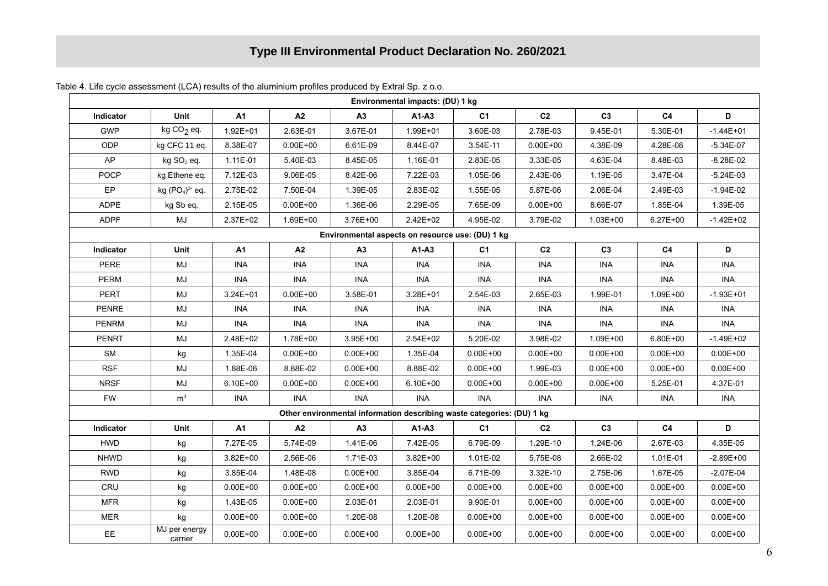| Environmental impacts: (DU) 1 kg |                                                  |              |              |                                                                        |              |                |                |                |                |               |
|----------------------------------|--------------------------------------------------|--------------|--------------|------------------------------------------------------------------------|--------------|----------------|----------------|----------------|----------------|---------------|
| Indicator                        | Unit                                             | <b>A1</b>    | A2           | A3                                                                     | $A1-A3$      | C <sub>1</sub> | C <sub>2</sub> | C <sub>3</sub> | C <sub>4</sub> | D             |
| <b>GWP</b>                       | kg $CO2$ eq.                                     | 1.92E+01     | 2.63E-01     | 3.67E-01                                                               | 1.99E+01     | 3.60E-03       | 2.78E-03       | 9.45E-01       | 5.30E-01       | $-1.44E + 01$ |
| <b>ODP</b>                       | kg CFC 11 eq.                                    | 8.38E-07     | $0.00E + 00$ | 6.61E-09                                                               | 8.44E-07     | 3.54E-11       | $0.00E + 00$   | 4.38E-09       | 4.28E-08       | $-5.34E-07$   |
| AP                               | kg SO <sub>2</sub> eq.                           | 1.11E-01     | 5.40E-03     | 8.45E-05                                                               | 1.16E-01     | 2.83E-05       | 3.33E-05       | 4.63E-04       | 8.48E-03       | $-8.28E - 02$ |
| <b>POCP</b>                      | kg Ethene eq.                                    | 7.12E-03     | 9.06E-05     | 8.42E-06                                                               | 7.22E-03     | 1.05E-06       | 2.43E-06       | 1.19E-05       | 3.47E-04       | $-5.24E-03$   |
| EP                               | kg $(PO4)3$ eq.                                  | 2.75E-02     | 7.50E-04     | 1.39E-05                                                               | 2.83E-02     | 1.55E-05       | 5.87E-06       | 2.06E-04       | 2.49E-03       | $-1.94E-02$   |
| <b>ADPE</b>                      | kg Sb eq.                                        | 2.15E-05     | $0.00E + 00$ | 1.36E-06                                                               | 2.29E-05     | 7.65E-09       | $0.00E + 00$   | 8.66E-07       | 1.85E-04       | 1.39E-05      |
| <b>ADPF</b>                      | MJ                                               | 2.37E+02     | 1.69E+00     | 3.76E+00                                                               | 2.42E+02     | 4.95E-02       | 3.79E-02       | 1.03E+00       | $6.27E + 00$   | $-1.42E + 02$ |
|                                  | Environmental aspects on resource use: (DU) 1 kg |              |              |                                                                        |              |                |                |                |                |               |
| Indicator                        | Unit                                             | <b>A1</b>    | A2           | A3                                                                     | A1-A3        | C <sub>1</sub> | C <sub>2</sub> | C <sub>3</sub> | C <sub>4</sub> | D             |
| <b>PERE</b>                      | MJ                                               | <b>INA</b>   | <b>INA</b>   | <b>INA</b>                                                             | <b>INA</b>   | <b>INA</b>     | <b>INA</b>     | <b>INA</b>     | <b>INA</b>     | <b>INA</b>    |
| <b>PERM</b>                      | MJ                                               | <b>INA</b>   | <b>INA</b>   | <b>INA</b>                                                             | <b>INA</b>   | <b>INA</b>     | <b>INA</b>     | <b>INA</b>     | <b>INA</b>     | <b>INA</b>    |
| PERT                             | MJ                                               | $3.24E + 01$ | $0.00E + 00$ | 3.58E-01                                                               | 3.28E+01     | 2.54E-03       | 2.65E-03       | 1.99E-01       | 1.09E+00       | $-1.93E + 01$ |
| <b>PENRE</b>                     | MJ                                               | <b>INA</b>   | <b>INA</b>   | <b>INA</b>                                                             | INA          | <b>INA</b>     | <b>INA</b>     | <b>INA</b>     | <b>INA</b>     | <b>INA</b>    |
| <b>PENRM</b>                     | MJ                                               | <b>INA</b>   | <b>INA</b>   | <b>INA</b>                                                             | <b>INA</b>   | <b>INA</b>     | <b>INA</b>     | INA            | <b>INA</b>     | <b>INA</b>    |
| <b>PENRT</b>                     | MJ                                               | 2.48E+02     | 1.78E+00     | 3.95E+00                                                               | 2.54E+02     | 5.20E-02       | 3.98E-02       | 1.09E+00       | $6.80E + 00$   | $-1.49E + 02$ |
| <b>SM</b>                        | kg                                               | 1.35E-04     | $0.00E + 00$ | $0.00E + 00$                                                           | 1.35E-04     | $0.00E + 00$   | $0.00E + 00$   | $0.00E + 00$   | $0.00E + 00$   | $0.00E + 00$  |
| <b>RSF</b>                       | MJ                                               | 1.88E-06     | 8.88E-02     | $0.00E + 00$                                                           | 8.88E-02     | $0.00E + 00$   | 1.99E-03       | $0.00E + 00$   | $0.00E + 00$   | $0.00E + 00$  |
| <b>NRSF</b>                      | MJ                                               | 6.10E+00     | $0.00E + 00$ | $0.00E + 00$                                                           | 6.10E+00     | $0.00E + 00$   | $0.00E + 00$   | $0.00E + 00$   | 5.25E-01       | 4.37E-01      |
| <b>FW</b>                        | m <sup>3</sup>                                   | <b>INA</b>   | <b>INA</b>   | <b>INA</b>                                                             | <b>INA</b>   | <b>INA</b>     | <b>INA</b>     | <b>INA</b>     | <b>INA</b>     | <b>INA</b>    |
|                                  |                                                  |              |              | Other environmental information describing waste categories: (DU) 1 kg |              |                |                |                |                |               |
| Indicator                        | Unit                                             | <b>A1</b>    | A2           | A3                                                                     | $A1-A3$      | C <sub>1</sub> | C <sub>2</sub> | C <sub>3</sub> | C <sub>4</sub> | D             |
| <b>HWD</b>                       | kg                                               | 7.27E-05     | 5.74E-09     | 1.41E-06                                                               | 7.42E-05     | 6.79E-09       | 1.29E-10       | 1.24E-06       | 2.67E-03       | 4.35E-05      |
| <b>NHWD</b>                      | kg                                               | $3.82E + 00$ | 2.56E-06     | 1.71E-03                                                               | 3.82E+00     | 1.01E-02       | 5.75E-08       | 2.66E-02       | 1.01E-01       | $-2.89E + 00$ |
| <b>RWD</b>                       | kg                                               | 3.85E-04     | 1.48E-08     | $0.00E + 00$                                                           | 3.85E-04     | 6.71E-09       | 3.32E-10       | 2.75E-06       | 1.67E-05       | $-2.07E-04$   |
| CRU                              | kg                                               | $0.00E + 00$ | $0.00E + 00$ | $0.00E + 00$                                                           | $0.00E + 00$ | $0.00E + 00$   | $0.00E + 00$   | $0.00E + 00$   | $0.00E + 00$   | $0.00E + 00$  |
| ${\sf MFR}$                      | kg                                               | 1.43E-05     | $0.00E + 00$ | 2.03E-01                                                               | 2.03E-01     | 9.90E-01       | $0.00E + 00$   | $0.00E + 00$   | $0.00E + 00$   | $0.00E + 00$  |
| <b>MER</b>                       | kg                                               | $0.00E + 00$ | $0.00E + 00$ | 1.20E-08                                                               | 1.20E-08     | $0.00E + 00$   | $0.00E + 00$   | $0.00E + 00$   | $0.00E + 00$   | $0.00E + 00$  |
| EE.                              | MJ per energy<br>carrier                         | $0.00E + 00$ | $0.00E + 00$ | $0.00E + 00$                                                           | $0.00E + 00$ | $0.00E + 00$   | $0.00E + 00$   | $0.00E + 00$   | $0.00E + 00$   | $0.00E + 00$  |

Table 4. Life cycle assessment (LCA) results of the aluminium profiles produced by Extral Sp. z o.o.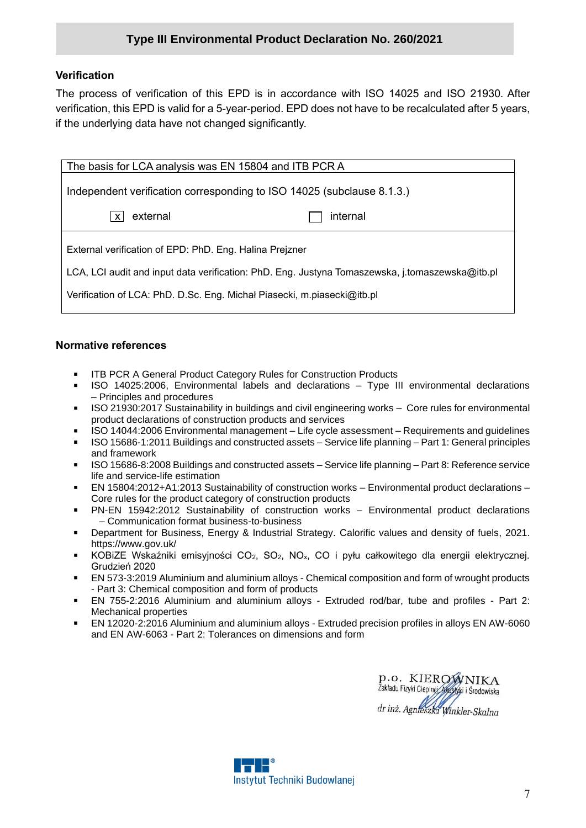#### **Verification**

The process of verification of this EPD is in accordance with ISO 14025 and ISO 21930. After verification, this EPD is valid for a 5-year-period. EPD does not have to be recalculated after 5 years, if the underlying data have not changed significantly.

| The basis for LCA analysis was EN 15804 and ITB PCR A                                           |          |  |  |  |  |  |
|-------------------------------------------------------------------------------------------------|----------|--|--|--|--|--|
| Independent verification corresponding to ISO 14025 (subclause 8.1.3.)                          |          |  |  |  |  |  |
| external<br>$\mathsf{x}$                                                                        | internal |  |  |  |  |  |
| External verification of EPD: PhD. Eng. Halina Prejzner                                         |          |  |  |  |  |  |
| LCA, LCI audit and input data verification: PhD. Eng. Justyna Tomaszewska, j.tomaszewska@itb.pl |          |  |  |  |  |  |
| Verification of LCA: PhD. D.Sc. Eng. Michał Piasecki, m.piasecki@itb.pl                         |          |  |  |  |  |  |
|                                                                                                 |          |  |  |  |  |  |

#### **Normative references**

- ITB PCR A General Product Category Rules for Construction Products
- ISO 14025:2006, Environmental labels and declarations Type III environmental declarations – Principles and procedures
- ISO 21930:2017 Sustainability in buildings and civil engineering works Core rules for environmental product declarations of construction products and services
- ISO 14044:2006 Environmental management Life cycle assessment Requirements and guidelines
- ISO 15686-1:2011 Buildings and constructed assets Service life planning Part 1: General principles and framework
- ISO 15686-8:2008 Buildings and constructed assets Service life planning Part 8: Reference service life and service-life estimation
- EN 15804:2012+A1:2013 Sustainability of construction works Environmental product declarations Core rules for the product category of construction products
- PN-EN 15942:2012 Sustainability of construction works Environmental product declarations – Communication format business-to-business
- Department for Business, Energy & Industrial Strategy. Calorific values and density of fuels, 2021. <https://www.gov.uk/>
- KOBIZE Wskaźniki emisyjności CO<sub>2</sub>, SO<sub>2</sub>, NO<sub>x</sub>, CO i pyłu całkowitego dla energii elektrycznej. Grudzień 2020
- EN 573-3:2019 Aluminium and aluminium alloys Chemical composition and form of wrought products - Part 3: Chemical composition and form of products
- EN 755-2:2016 Aluminium and aluminium alloys Extruded rod/bar, tube and profiles Part 2: Mechanical properties
- EN 12020-2:2016 Aluminium and aluminium alloys Extruded precision profiles in alloys EN AW-6060 and EN AW-6063 - Part 2: Tolerances on dimensions and form

p.o. KIEROWNIKA Žakładu Fizyki Cieplnej Akustyki i Środowiska dr inż. Agnieszka Winkler-Skalna